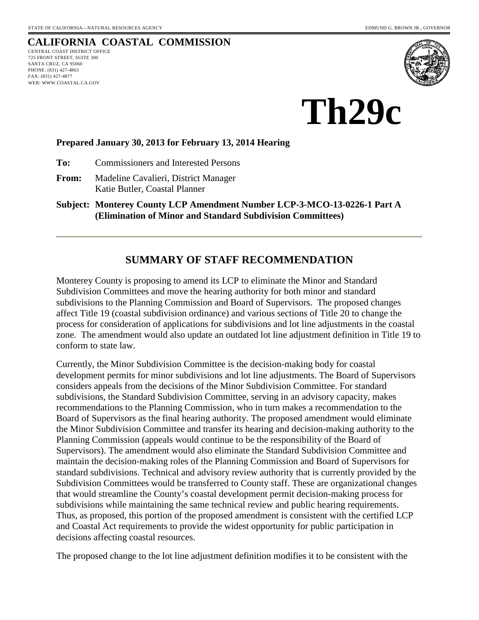# **CALIFORNIA COASTAL COMMISSION**

CENTRAL COAST DISTRICT OFFICE 725 FRONT STREET, SUITE 300 SANTA CRUZ, CA 95060 PHONE: (831) 427-4863 FAX: (831) 427-4877 WEB: WWW.COASTAL.CA.GOV



**Th29c** 

### **Prepared January 30, 2013 for February 13, 2014 Hearing**

**To:** Commissioners and Interested Persons

**From:** Madeline Cavalieri, District Manager Katie Butler, Coastal Planner

**Subject: Monterey County LCP Amendment Number LCP-3-MCO-13-0226-1 Part A (Elimination of Minor and Standard Subdivision Committees)**

# **SUMMARY OF STAFF RECOMMENDATION**

Monterey County is proposing to amend its LCP to eliminate the Minor and Standard Subdivision Committees and move the hearing authority for both minor and standard subdivisions to the Planning Commission and Board of Supervisors. The proposed changes affect Title 19 (coastal subdivision ordinance) and various sections of Title 20 to change the process for consideration of applications for subdivisions and lot line adjustments in the coastal zone. The amendment would also update an outdated lot line adjustment definition in Title 19 to conform to state law.

Currently, the Minor Subdivision Committee is the decision-making body for coastal development permits for minor subdivisions and lot line adjustments. The Board of Supervisors considers appeals from the decisions of the Minor Subdivision Committee. For standard subdivisions, the Standard Subdivision Committee, serving in an advisory capacity, makes recommendations to the Planning Commission, who in turn makes a recommendation to the Board of Supervisors as the final hearing authority. The proposed amendment would eliminate the Minor Subdivision Committee and transfer its hearing and decision-making authority to the Planning Commission (appeals would continue to be the responsibility of the Board of Supervisors). The amendment would also eliminate the Standard Subdivision Committee and maintain the decision-making roles of the Planning Commission and Board of Supervisors for standard subdivisions. Technical and advisory review authority that is currently provided by the Subdivision Committees would be transferred to County staff. These are organizational changes that would streamline the County's coastal development permit decision-making process for subdivisions while maintaining the same technical review and public hearing requirements. Thus, as proposed, this portion of the proposed amendment is consistent with the certified LCP and Coastal Act requirements to provide the widest opportunity for public participation in decisions affecting coastal resources.

The proposed change to the lot line adjustment definition modifies it to be consistent with the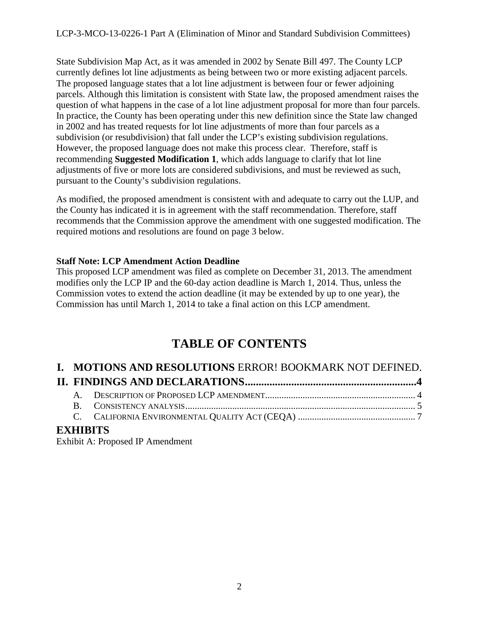State Subdivision Map Act, as it was amended in 2002 by Senate Bill 497. The County LCP currently defines lot line adjustments as being between two or more existing adjacent parcels. The proposed language states that a lot line adjustment is between four or fewer adjoining parcels. Although this limitation is consistent with State law, the proposed amendment raises the question of what happens in the case of a lot line adjustment proposal for more than four parcels. In practice, the County has been operating under this new definition since the State law changed in 2002 and has treated requests for lot line adjustments of more than four parcels as a subdivision (or resubdivision) that fall under the LCP's existing subdivision regulations. However, the proposed language does not make this process clear. Therefore, staff is recommending **Suggested Modification 1**, which adds language to clarify that lot line adjustments of five or more lots are considered subdivisions, and must be reviewed as such, pursuant to the County's subdivision regulations.

As modified, the proposed amendment is consistent with and adequate to carry out the LUP, and the County has indicated it is in agreement with the staff recommendation. Therefore, staff recommends that the Commission approve the amendment with one suggested modification. The required motions and resolutions are found on page 3 below.

# **Staff Note: LCP Amendment Action Deadline**

This proposed LCP amendment was filed as complete on December 31, 2013. The amendment modifies only the LCP IP and the 60-day action deadline is March 1, 2014. Thus, unless the Commission votes to extend the action deadline (it may be extended by up to one year), the Commission has until March 1, 2014 to take a final action on this LCP amendment.

# **TABLE OF CONTENTS**

|  | I. MOTIONS AND RESOLUTIONS ERROR! BOOKMARK NOT DEFINED. |  |
|--|---------------------------------------------------------|--|
|  |                                                         |  |
|  |                                                         |  |
|  |                                                         |  |
|  |                                                         |  |
|  |                                                         |  |

# **EXHIBITS**

Exhibit A: Proposed IP Amendment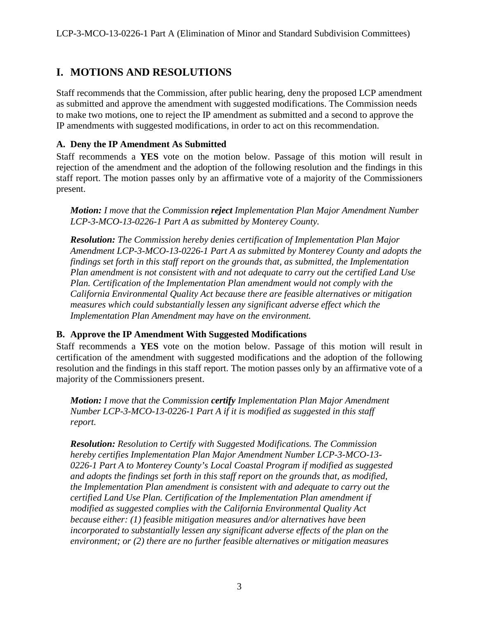# **I. MOTIONS AND RESOLUTIONS**

Staff recommends that the Commission, after public hearing, deny the proposed LCP amendment as submitted and approve the amendment with suggested modifications. The Commission needs to make two motions, one to reject the IP amendment as submitted and a second to approve the IP amendments with suggested modifications, in order to act on this recommendation.

# **A. Deny the IP Amendment As Submitted**

Staff recommends a **YES** vote on the motion below. Passage of this motion will result in rejection of the amendment and the adoption of the following resolution and the findings in this staff report. The motion passes only by an affirmative vote of a majority of the Commissioners present.

*Motion: I move that the Commission reject Implementation Plan Major Amendment Number LCP-3-MCO-13-0226-1 Part A as submitted by Monterey County.* 

*Resolution: The Commission hereby denies certification of Implementation Plan Major Amendment LCP-3-MCO-13-0226-1 Part A as submitted by Monterey County and adopts the findings set forth in this staff report on the grounds that, as submitted, the Implementation Plan amendment is not consistent with and not adequate to carry out the certified Land Use Plan. Certification of the Implementation Plan amendment would not comply with the California Environmental Quality Act because there are feasible alternatives or mitigation measures which could substantially lessen any significant adverse effect which the Implementation Plan Amendment may have on the environment.* 

### **B. Approve the IP Amendment With Suggested Modifications**

Staff recommends a **YES** vote on the motion below. Passage of this motion will result in certification of the amendment with suggested modifications and the adoption of the following resolution and the findings in this staff report. The motion passes only by an affirmative vote of a majority of the Commissioners present.

*Motion: I move that the Commission certify Implementation Plan Major Amendment Number LCP-3-MCO-13-0226-1 Part A if it is modified as suggested in this staff report.* 

*Resolution: Resolution to Certify with Suggested Modifications. The Commission hereby certifies Implementation Plan Major Amendment Number LCP-3-MCO-13- 0226-1 Part A to Monterey County's Local Coastal Program if modified as suggested and adopts the findings set forth in this staff report on the grounds that, as modified, the Implementation Plan amendment is consistent with and adequate to carry out the certified Land Use Plan. Certification of the Implementation Plan amendment if modified as suggested complies with the California Environmental Quality Act because either: (1) feasible mitigation measures and/or alternatives have been incorporated to substantially lessen any significant adverse effects of the plan on the environment; or (2) there are no further feasible alternatives or mitigation measures*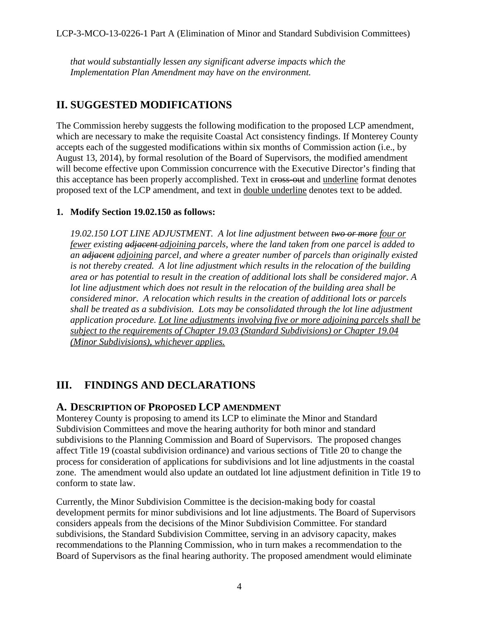*that would substantially lessen any significant adverse impacts which the Implementation Plan Amendment may have on the environment.* 

# **II. SUGGESTED MODIFICATIONS**

The Commission hereby suggests the following modification to the proposed LCP amendment, which are necessary to make the requisite Coastal Act consistency findings. If Monterey County accepts each of the suggested modifications within six months of Commission action (i.e., by August 13, 2014), by formal resolution of the Board of Supervisors, the modified amendment will become effective upon Commission concurrence with the Executive Director's finding that this acceptance has been properly accomplished. Text in cross-out and underline format denotes proposed text of the LCP amendment, and text in double underline denotes text to be added.

# **1. Modify Section 19.02.150 as follows:**

*19.02.150 LOT LINE ADJUSTMENT. A lot line adjustment between two or more four or fewer existing adjacent adjoining parcels, where the land taken from one parcel is added to an adjacent adjoining parcel, and where a greater number of parcels than originally existed is not thereby created. A lot line adjustment which results in the relocation of the building area or has potential to result in the creation of additional lots shall be considered major. A lot line adjustment which does not result in the relocation of the building area shall be considered minor. A relocation which results in the creation of additional lots or parcels shall be treated as a subdivision. Lots may be consolidated through the lot line adjustment application procedure. Lot line adjustments involving five or more adjoining parcels shall be subject to the requirements of Chapter 19.03 (Standard Subdivisions) or Chapter 19.04 (Minor Subdivisions), whichever applies.* 

# <span id="page-3-0"></span>**III. FINDINGS AND DECLARATIONS**

# <span id="page-3-1"></span>**A. DESCRIPTION OF PROPOSED LCP AMENDMENT**

Monterey County is proposing to amend its LCP to eliminate the Minor and Standard Subdivision Committees and move the hearing authority for both minor and standard subdivisions to the Planning Commission and Board of Supervisors. The proposed changes affect Title 19 (coastal subdivision ordinance) and various sections of Title 20 to change the process for consideration of applications for subdivisions and lot line adjustments in the coastal zone. The amendment would also update an outdated lot line adjustment definition in Title 19 to conform to state law.

Currently, the Minor Subdivision Committee is the decision-making body for coastal development permits for minor subdivisions and lot line adjustments. The Board of Supervisors considers appeals from the decisions of the Minor Subdivision Committee. For standard subdivisions, the Standard Subdivision Committee, serving in an advisory capacity, makes recommendations to the Planning Commission, who in turn makes a recommendation to the Board of Supervisors as the final hearing authority. The proposed amendment would eliminate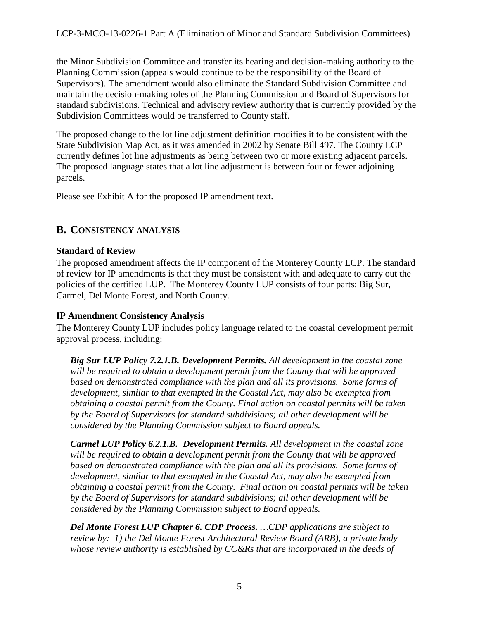LCP-3-MCO-13-0226-1 Part A (Elimination of Minor and Standard Subdivision Committees)

the Minor Subdivision Committee and transfer its hearing and decision-making authority to the Planning Commission (appeals would continue to be the responsibility of the Board of Supervisors). The amendment would also eliminate the Standard Subdivision Committee and maintain the decision-making roles of the Planning Commission and Board of Supervisors for standard subdivisions. Technical and advisory review authority that is currently provided by the Subdivision Committees would be transferred to County staff.

The proposed change to the lot line adjustment definition modifies it to be consistent with the State Subdivision Map Act, as it was amended in 2002 by Senate Bill 497. The County LCP currently defines lot line adjustments as being between two or more existing adjacent parcels. The proposed language states that a lot line adjustment is between four or fewer adjoining parcels.

Please see Exhibit A for the proposed IP amendment text.

# <span id="page-4-0"></span>**B. CONSISTENCY ANALYSIS**

# **Standard of Review**

The proposed amendment affects the IP component of the Monterey County LCP. The standard of review for IP amendments is that they must be consistent with and adequate to carry out the policies of the certified LUP. The Monterey County LUP consists of four parts: Big Sur, Carmel, Del Monte Forest, and North County.

# **IP Amendment Consistency Analysis**

The Monterey County LUP includes policy language related to the coastal development permit approval process, including:

*Big Sur LUP Policy 7.2.1.B. Development Permits. All development in the coastal zone will be required to obtain a development permit from the County that will be approved*  based on demonstrated compliance with the plan and all its provisions. Some forms of *development, similar to that exempted in the Coastal Act, may also be exempted from obtaining a coastal permit from the County. Final action on coastal permits will be taken by the Board of Supervisors for standard subdivisions; all other development will be considered by the Planning Commission subject to Board appeals.* 

*Carmel LUP Policy 6.2.1.B. Development Permits. All development in the coastal zone will be required to obtain a development permit from the County that will be approved*  based on demonstrated compliance with the plan and all its provisions. Some forms of *development, similar to that exempted in the Coastal Act, may also be exempted from obtaining a coastal permit from the County. Final action on coastal permits will be taken by the Board of Supervisors for standard subdivisions; all other development will be considered by the Planning Commission subject to Board appeals.* 

*Del Monte Forest LUP Chapter 6. CDP Process. …CDP applications are subject to review by: 1) the Del Monte Forest Architectural Review Board (ARB), a private body whose review authority is established by CC&Rs that are incorporated in the deeds of*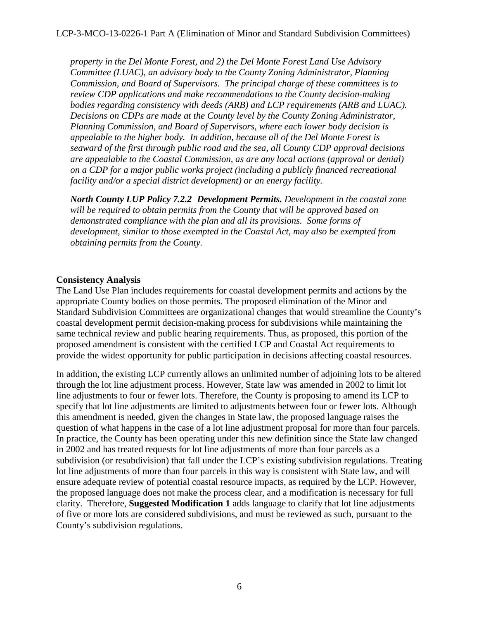*property in the Del Monte Forest, and 2) the Del Monte Forest Land Use Advisory Committee (LUAC), an advisory body to the County Zoning Administrator, Planning Commission, and Board of Supervisors. The principal charge of these committees is to review CDP applications and make recommendations to the County decision-making bodies regarding consistency with deeds (ARB) and LCP requirements (ARB and LUAC). Decisions on CDPs are made at the County level by the County Zoning Administrator, Planning Commission, and Board of Supervisors, where each lower body decision is appealable to the higher body. In addition, because all of the Del Monte Forest is seaward of the first through public road and the sea, all County CDP approval decisions are appealable to the Coastal Commission, as are any local actions (approval or denial) on a CDP for a major public works project (including a publicly financed recreational facility and/or a special district development) or an energy facility.*

*North County LUP Policy 7.2.2 Development Permits. Development in the coastal zone will be required to obtain permits from the County that will be approved based on demonstrated compliance with the plan and all its provisions. Some forms of development, similar to those exempted in the Coastal Act, may also be exempted from obtaining permits from the County.* 

### **Consistency Analysis**

The Land Use Plan includes requirements for coastal development permits and actions by the appropriate County bodies on those permits. The proposed elimination of the Minor and Standard Subdivision Committees are organizational changes that would streamline the County's coastal development permit decision-making process for subdivisions while maintaining the same technical review and public hearing requirements. Thus, as proposed, this portion of the proposed amendment is consistent with the certified LCP and Coastal Act requirements to provide the widest opportunity for public participation in decisions affecting coastal resources.

In addition, the existing LCP currently allows an unlimited number of adjoining lots to be altered through the lot line adjustment process. However, State law was amended in 2002 to limit lot line adjustments to four or fewer lots. Therefore, the County is proposing to amend its LCP to specify that lot line adjustments are limited to adjustments between four or fewer lots. Although this amendment is needed, given the changes in State law, the proposed language raises the question of what happens in the case of a lot line adjustment proposal for more than four parcels. In practice, the County has been operating under this new definition since the State law changed in 2002 and has treated requests for lot line adjustments of more than four parcels as a subdivision (or resubdivision) that fall under the LCP's existing subdivision regulations. Treating lot line adjustments of more than four parcels in this way is consistent with State law, and will ensure adequate review of potential coastal resource impacts, as required by the LCP. However, the proposed language does not make the process clear, and a modification is necessary for full clarity. Therefore, **Suggested Modification 1** adds language to clarify that lot line adjustments of five or more lots are considered subdivisions, and must be reviewed as such, pursuant to the County's subdivision regulations.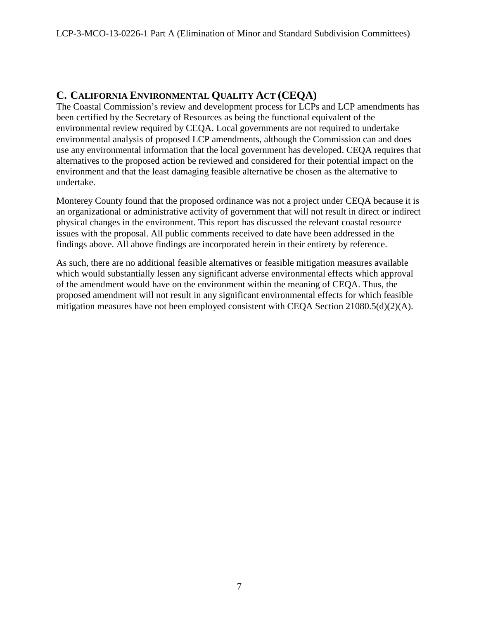# <span id="page-6-0"></span>**C. CALIFORNIA ENVIRONMENTAL QUALITY ACT (CEQA)**

The Coastal Commission's review and development process for LCPs and LCP amendments has been certified by the Secretary of Resources as being the functional equivalent of the environmental review required by CEQA. Local governments are not required to undertake environmental analysis of proposed LCP amendments, although the Commission can and does use any environmental information that the local government has developed. CEQA requires that alternatives to the proposed action be reviewed and considered for their potential impact on the environment and that the least damaging feasible alternative be chosen as the alternative to undertake.

Monterey County found that the proposed ordinance was not a project under CEQA because it is an organizational or administrative activity of government that will not result in direct or indirect physical changes in the environment. This report has discussed the relevant coastal resource issues with the proposal. All public comments received to date have been addressed in the findings above. All above findings are incorporated herein in their entirety by reference.

As such, there are no additional feasible alternatives or feasible mitigation measures available which would substantially lessen any significant adverse environmental effects which approval of the amendment would have on the environment within the meaning of CEQA. Thus, the proposed amendment will not result in any significant environmental effects for which feasible mitigation measures have not been employed consistent with CEOA Section  $21080.5(d)(2)(A)$ .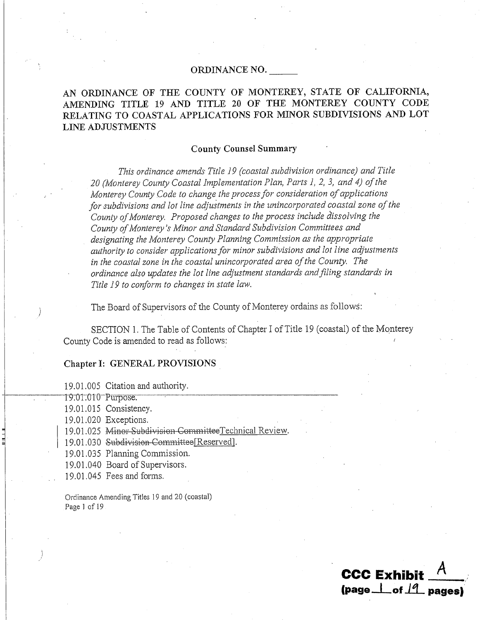### ORDINANCE NO.

# AN ORDINANCE OF THE COUNTY OF MONTEREY, STATE OF CALIFORNIA, AMENDING TITLE 19 AND TITLE 20 OF THE MONTEREY COUNTY CODE RELATING TO COASTAL APPLICATIONS FOR MINOR SUBDIVISIONS AND LOT **LINE ADJUSTMENTS**

#### **County Counsel Summary**

This ordinance amends Title 19 (coastal subdivision ordinance) and Title 20 (Monterey County Coastal Implementation Plan, Parts 1, 2, 3, and 4) of the Monterey County Code to change the process for consideration of applications for subdivisions and lot line adjustments in the unincorporated coastal zone of the County of Monterey. Proposed changes to the process include dissolving the County of Monterey's Minor and Standard Subdivision Committees and designating the Monterey County Planning Commission as the appropriate authority to consider applications for minor subdivisions and lot line adjustments in the coastal zone in the coastal unincorporated area of the County. The ordinance also updates the lot line adjustment standards and filing standards in Title 19 to conform to changes in state law.

The Board of Supervisors of the County of Monterey ordains as follows:

SECTION 1. The Table of Contents of Chapter I of Title 19 (coastal) of the Monterey County Code is amended to read as follows:

**CCC Exhibit** 

 $\frac{1}{2}$  (page  $\frac{1}{2}$  of  $\frac{1}{2}$  pages)

#### Chapter I: GENERAL PROVISIONS

19.01.005 Citation and authority.

19.01.010 Purpose.

19.01.015 Consistency.

19.01.020 Exceptions.

19.01.025 Minor Subdivision Committee Technical Review.

19.01.030 Subdivision-Committee [Reserved].

19.01.035 Planning Commission.

19.01.040 Board of Supervisors.

19.01.045 Fees and forms.

Ordinance Amending Titles 19 and 20 (coastal) Page 1 of 19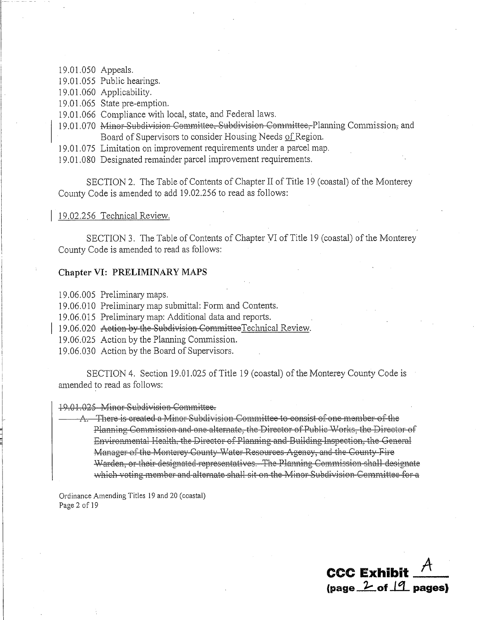19.01.050 Appeals.

19.01.055 Public hearings.

19.01.060 Applicability.

19.01.065 State pre-emption.

19.01.066 Compliance with local, state, and Federal laws.

- 19.01.070 Minor Subdivision Committee, Subdivision Committee, Planning Commission, and Board of Supervisors to consider Housing Needs of Region.
- 19.01.075 Limitation on improvement requirements under a parcel map.

19.01.080 Designated remainder parcel improvement requirements.

SECTION 2. The Table of Contents of Chapter II of Title 19 (coastal) of the Monterey County Code is amended to add 19.02.256 to read as follows:

#### 19.02.256 Technical Review.

SECTION 3. The Table of Contents of Chapter VI of Title 19 (coastal) of the Monterey County Code is amended to read as follows:

#### Chapter VI: PRELIMINARY MAPS

19.06.005 Preliminary maps.

19.06.010 Preliminary map submittal: Form and Contents.

19.06.015 Preliminary map: Additional data and reports.

- 19.06.020 Action by the Subdivision Committee Technical Review.
- 19.06.025 Action by the Planning Commission.

19.06.030 Action by the Board of Supervisors.

SECTION 4. Section 19.01.025 of Title 19 (coastal) of the Monterey County Code is amended to read as follows:

#### 19.01.025 Minor Subdivision Committee.

A. There is created a Minor Subdivision Committee to consist of one member of the Planning Commission and one alternate, the Director of Public Works, the Director of Environmental Health, the Director of Planning and Building Inspection, the General Manager of the Monterey County Water Resources Agency, and the County Fire Warden, or their designated representatives. The Planning Commission shall designate which voting member and alternate shall sit on the Minor Subdivision Committee for a

Ordinance Amending Titles 19 and 20 (coastal) Page 2 of 19

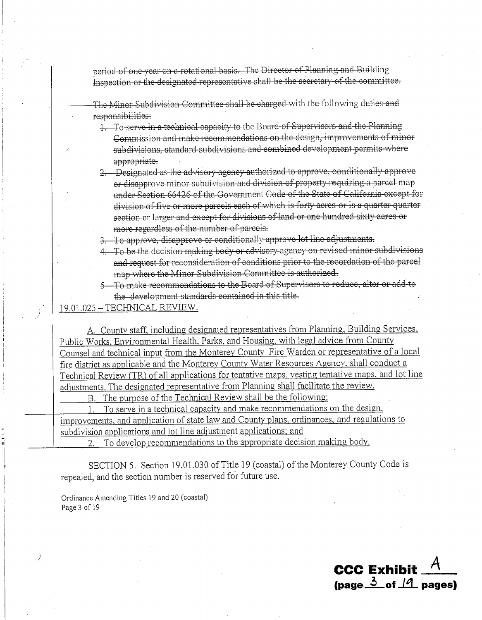period of one year on a rotational basis. The Director of Planning and Building Inspection or the designated representative shall be the secretary of the committee.

The Minor Subdivision Committee shall be charged with the following duties and responsibilities:

- 1. To serve in a technical capacity to the Board of Supervisors and the Planning Commission and make recommendations on the design, improvements of minor subdivisions, standard subdivisions and combined-development-permits where appropriate.
- 2. Designated as the advisory agency authorized to approve, conditionally approve or disapprove minor subdivision and division of property requiring a parcel map under Section 66426 of the Government Code of the State of California except for division of five or more parcels each of which is forty acres or is a quarter quarter section or larger and except for divisions of land or one hundred sixty acres or more regardless of the number of parcels.
- 3. To approve, disapprove or conditionally approve lot line adjustments.
- 4. To be the decision making body or advisory agency on revised minor subdivisions and request for reconsideration of conditions prior to the recordation of the parcel map where the Minor Subdivision Committee is authorized.
- 5. To make recommendations to the Board of Supervisors to reduce, alter or add to the development standards contained in this title.

19.01.025 - TECHNICAL REVIEW.

A. County staff, including designated representatives from Planning, Building Services, Public Works, Environmental Health, Parks, and Housing, with legal advice from County Counsel and technical input from the Monterey County Fire Warden or representative of a local fire district as applicable and the Monterey County Water Resources Agency, shall conduct a Technical Review (TR) of all applications for tentative maps, vesting tentative maps, and lot line adjustments. The designated representative from Planning shall facilitate the review.

The purpose of the Technical Review shall be the following: В.

To serve in a technical capacity and make recommendations on the design,  $1$ improvements, and application of state law and County plans, ordinances, and regulations to subdivision applications and lot line adjustment applications; and

To develop recommendations to the appropriate decision making body.

SECTION 5. Section 19.01.030 of Title 19 (coastal) of the Monterey County Code is repealed, and the section number is reserved for future use.

Ordinance Amending Titles 19 and 20 (coastal) Page 3 of 19

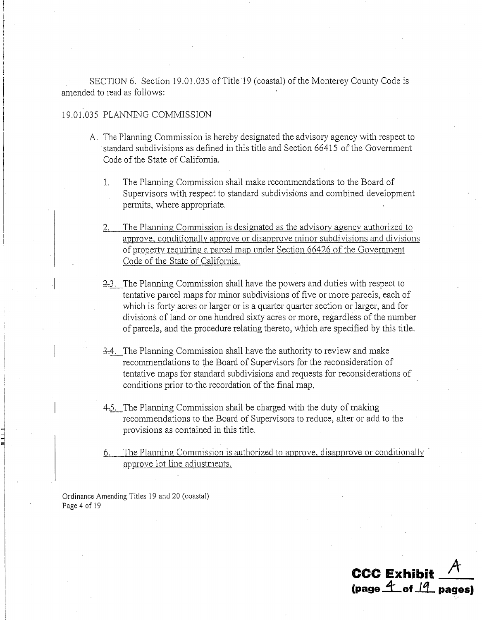SECTION 6. Section 19.01.035 of Title 19 (coastal) of the Monterey County Code is amended to read as follows:

### 19.01.035 PLANNING COMMISSION

- A. The Planning Commission is hereby designated the advisory agency with respect to standard subdivisions as defined in this title and Section 66415 of the Government Code of the State of California.
	- $\mathbf{1}$ . The Planning Commission shall make recommendations to the Board of Supervisors with respect to standard subdivisions and combined development permits, where appropriate.
	- The Planning Commission is designated as the advisory agency authorized to approve, conditionally approve or disapprove minor subdivisions and divisions of property requiring a parcel map under Section 66426 of the Government Code of the State of California.
	- 2.3. The Planning Commission shall have the powers and duties with respect to tentative parcel maps for minor subdivisions of five or more parcels, each of which is forty acres or larger or is a quarter quarter section or larger, and for divisions of land or one hundred sixty acres or more, regardless of the number of parcels, and the procedure relating thereto, which are specified by this title.
	- 3.4. The Planning Commission shall have the authority to review and make recommendations to the Board of Supervisors for the reconsideration of tentative maps for standard subdivisions and requests for reconsiderations of conditions prior to the recordation of the final map.
	- 4.5. The Planning Commission shall be charged with the duty of making recommendations to the Board of Supervisors to reduce, alter or add to the provisions as contained in this title.
	- The Planning Commission is authorized to approve, disapprove or conditionally approve lot line adjustments.

Ordinance Amending Titles 19 and 20 (coastal) Page 4 of 19

**CCC Exhibit** (page  $4$  of  $14$  pages)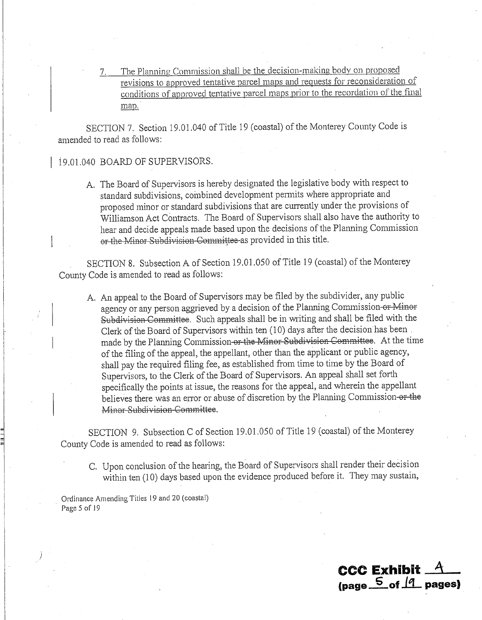The Planning Commission shall be the decision-making body on proposed revisions to approved tentative parcel maps and requests for reconsideration of conditions of approved tentative parcel maps prior to the recordation of the final man.

SECTION 7. Section 19.01.040 of Title 19 (coastal) of the Monterey County Code is amended to read as follows:

### 19.01.040 BOARD OF SUPERVISORS.

A. The Board of Supervisors is hereby designated the legislative body with respect to standard subdivisions, combined development permits where appropriate and proposed minor or standard subdivisions that are currently under the provisions of Williamson Act Contracts. The Board of Supervisors shall also have the authority to hear and decide appeals made based upon the decisions of the Planning Commission or the Minor Subdivision Committee as provided in this title.

SECTION 8. Subsection A of Section 19.01.050 of Title 19 (coastal) of the Monterey County Code is amended to read as follows:

A. An appeal to the Board of Supervisors may be filed by the subdivider, any public agency or any person aggrieved by a decision of the Planning Commission-or-Minor Subdivision Committee. Such appeals shall be in writing and shall be filed with the Clerk of the Board of Supervisors within ten (10) days after the decision has been made by the Planning Commission or the Minor Subdivision Committee. At the time of the filing of the appeal, the appellant, other than the applicant or public agency, shall pay the required filing fee, as established from time to time by the Board of Supervisors, to the Clerk of the Board of Supervisors. An appeal shall set forth specifically the points at issue, the reasons for the appeal, and wherein the appellant believes there was an error or abuse of discretion by the Planning Commission-or-the Minor Subdivision Committee.

SECTION 9. Subsection C of Section 19.01.050 of Title 19 (coastal) of the Monterey County Code is amended to read as follows:

C. Upon conclusion of the hearing, the Board of Supervisors shall render their decision within ten (10) days based upon the evidence produced before it. They may sustain,

**CCC Exhibit.** 

(page  $\frac{5}{2}$  of  $\frac{1}{1}$  pages)

Ordinance Amending Titles 19 and 20 (coastal) Page 5 of 19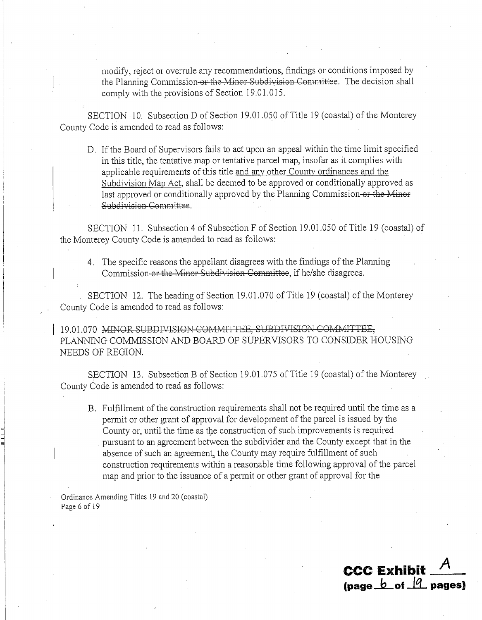modify, reject or overrule any recommendations, findings or conditions imposed by the Planning Commission-or-the Minor-Subdivision-Committee. The decision shall comply with the provisions of Section 19.01.015.

SECTION 10. Subsection D of Section 19.01.050 of Title 19 (coastal) of the Monterey County Code is amended to read as follows:

D. If the Board of Supervisors fails to act upon an appeal within the time limit specified in this title, the tentative map or tentative parcel map, insofar as it complies with applicable requirements of this title and any other County ordinances and the Subdivision Map Act, shall be deemed to be approved or conditionally approved as last approved or conditionally approved by the Planning Commission-or-the Minor Subdivision Committee.

SECTION 11. Subsection 4 of Subsection F of Section 19.01.050 of Title 19 (coastal) of the Monterey County Code is amended to read as follows:

4. The specific reasons the appellant disagrees with the findings of the Planning Commission or the Minor Subdivision Committee, if he/she disagrees.

SECTION 12. The heading of Section 19.01.070 of Title 19 (coastal) of the Monterey County Code is amended to read as follows:

19.01.070 MINOR SUBDIVISION COMMITTEE, SUBDIVISION COMMITTEE, PLANNING COMMISSION AND BOARD OF SUPERVISORS TO CONSIDER HOUSING NEEDS OF REGION.

SECTION 13. Subsection B of Section 19.01.075 of Title 19 (coastal) of the Monterey County Code is amended to read as follows:

B. Fulfillment of the construction requirements shall not be required until the time as a permit or other grant of approval for development of the parcel is issued by the County or, until the time as the construction of such improvements is required pursuant to an agreement between the subdivider and the County except that in the absence of such an agreement, the County may require fulfillment of such construction requirements within a reasonable time following approval of the parcel map and prior to the issuance of a permit or other grant of approval for the

Ordinance Amending Titles 19 and 20 (coastal) Page 6 of 19

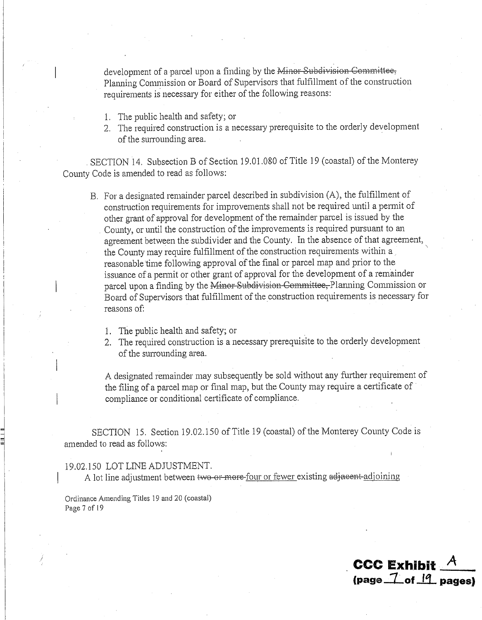development of a parcel upon a finding by the Minor Subdivision Committee. Planning Commission or Board of Supervisors that fulfillment of the construction requirements is necessary for either of the following reasons:

- 1. The public health and safety; or
- 2. The required construction is a necessary prerequisite to the orderly development of the surrounding area.

SECTION 14. Subsection B of Section 19.01.080 of Title 19 (coastal) of the Monterey County Code is amended to read as follows:

- B. For a designated remainder parcel described in subdivision (A), the fulfillment of construction requirements for improvements shall not be required until a permit of other grant of approval for development of the remainder parcel is issued by the County, or until the construction of the improvements is required pursuant to an agreement between the subdivider and the County. In the absence of that agreement, the County may require fulfillment of the construction requirements within a reasonable time following approval of the final or parcel map and prior to the issuance of a permit or other grant of approval for the development of a remainder parcel upon a finding by the Minor Subdivision-Committee, Planning Commission or Board of Supervisors that fulfillment of the construction requirements is necessary for reasons of:
	- 1. The public health and safety; or
	- 2. The required construction is a necessary prerequisite to the orderly development of the surrounding area.

A designated remainder may subsequently be sold without any further requirement of the filing of a parcel map or final map, but the County may require a certificate of compliance or conditional certificate of compliance.

**CCC Exhibit** 

 $(page_1 7 of_1 19 page_3)$ 

SECTION 15. Section 19.02.150 of Title 19 (coastal) of the Monterey County Code is amended to read as follows:

#### 19.02.150 LOT LINE ADJUSTMENT.

A lot line adjustment between two or more-four or fewer existing adjacent-adjoining

Ordinance Amending Titles 19 and 20 (coastal) Page 7 of 19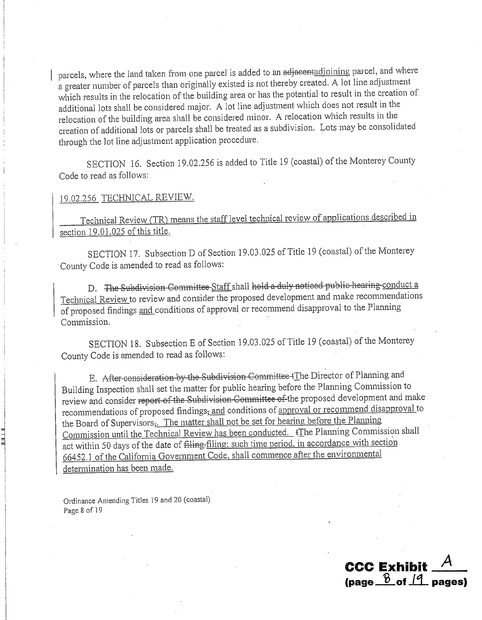parcels, where the land taken from one parcel is added to an adjacentadjoining parcel, and where a greater number of parcels than originally existed is not thereby created. A lot line adjustment which results in the relocation of the building area or has the potential to result in the creation of additional lots shall be considered major. A lot line adjustment which does not result in the relocation of the building area shall be considered minor. A relocation which results in the creation of additional lots or parcels shall be treated as a subdivision. Lots may be consolidated through the lot line adjustment application procedure.

SECTION 16. Section 19.02.256 is added to Title 19 (coastal) of the Monterey County Code to read as follows:

### 19.02.256 TECHNICAL REVIEW.

Technical Review (TR) means the staff level technical review of applications described in section 19.01.025 of this title.

SECTION 17. Subsection D of Section 19.03.025 of Title 19 (coastal) of the Monterey County Code is amended to read as follows:

D. The Subdivision Committee-Staff shall hold a duly noticed public hearing conduct a Technical Review to review and consider the proposed development and make recommendations of proposed findings and conditions of approval or recommend disapproval to the Planning Commission.

SECTION 18. Subsection E of Section 19.03.025 of Title 19 (coastal) of the Monterey County Code is amended to read as follows:

E. After consideration by the Subdivision Committee tThe Director of Planning and Building Inspection shall set the matter for public hearing before the Planning Commission to review and consider report of the Subdivision-Committee of the proposed development and make recommendations of proposed findings, and conditions of approval or recommend disapproval to the Board of Supervisors, The matter shall not be set for hearing before the Planning Commission until the Technical Review has been conducted.  $\overline{f}$  The Planning Commission shall act within 50 days of the date of filing-filing; such time period, in accordance with section 66452.1 of the California Government Code, shall commence after the environmental determination has been made.

Ordinance Amending Titles 19 and 20 (coastal) Page 8 of 19

**CCC Exhibit** (page  $\frac{8}{2}$  of  $\frac{19}{2}$  pages)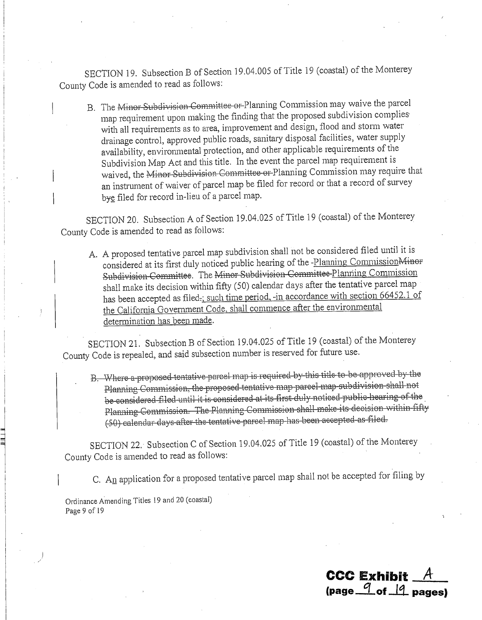SECTION 19. Subsection B of Section 19.04.005 of Title 19 (coastal) of the Monterey County Code is amended to read as follows:

B. The Minor Subdivision Committee or Planning Commission may waive the parcel map requirement upon making the finding that the proposed subdivision complies with all requirements as to area, improvement and design, flood and storm water drainage control, approved public roads, sanitary disposal facilities, water supply availability, environmental protection, and other applicable requirements of the Subdivision Map Act and this title. In the event the parcel map requirement is waived, the Minor Subdivision Committee or Planning Commission may require that an instrument of waiver of parcel map be filed for record or that a record of survey bye filed for record in-lieu of a parcel map.

SECTION 20. Subsection A of Section 19.04.025 of Title 19 (coastal) of the Monterey County Code is amended to read as follows:

A. A proposed tentative parcel map subdivision shall not be considered filed until it is considered at its first duly noticed public hearing of the -Planning Commission Minor Subdivision Committee. The Minor Subdivision Committee-Planning Commission shall make its decision within fifty (50) calendar days after the tentative parcel map has been accepted as filed-; such time period, -in accordance with section 66452.1 of the California Government Code, shall commence after the environmental determination has been made.

SECTION 21. Subsection B of Section 19.04.025 of Title 19 (coastal) of the Monterey County Code is repealed, and said subsection number is reserved for future use.

B. Where a proposed tentative parcel map is required by this title to be approved by the Planning Commission, the proposed tentative map parcel map subdivision shall not be considered filed until it is considered at its first duly noticed public hearing of the Planning Commission. The Planning Commission shall make its decision within fifty (50) calendar days after the tentative parcel map has been accepted as filed.

SECTION 22. Subsection C of Section 19.04.025 of Title 19 (coastal) of the Monterey County Code is amended to read as follows:

C. An application for a proposed tentative parcel map shall not be accepted for filing by

Ordinance Amending Titles 19 and 20 (coastal) Page 9 of 19

**CCC Exhibit** (page  $\frac{q}{q}$  of  $\frac{q}{q}$  pages)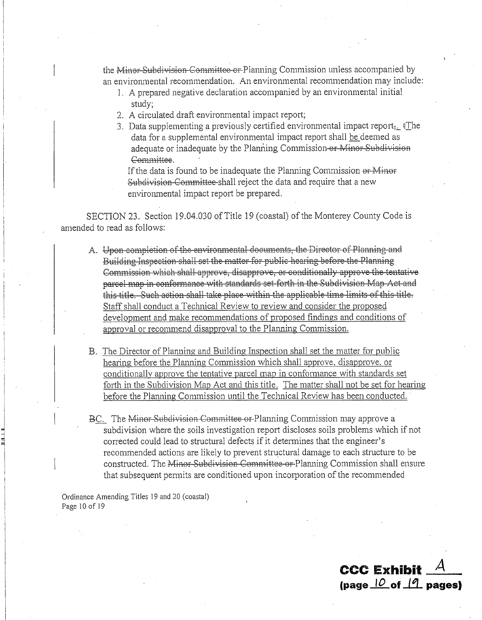the Minor Subdivision Committee or Planning Commission unless accompanied by an environmental recommendation. An environmental recommendation may include:

- 1. A prepared negative declaration accompanied by an environmental initial study:
- 2. A circulated draft environmental impact report;
- 3. Data supplementing a previously certified environmental impact report, fThe data for a supplemental environmental impact report shall be deemed as adequate or inadequate by the Planning Commission-or Minor Subdivision Committee.

If the data is found to be inadequate the Planning Commission or Minor Subdivision Committee-shall reject the data and require that a new environmental impact report be prepared.

SECTION 23. Section 19.04.030 of Title 19 (coastal) of the Monterey County Code is amended to read as follows:

- A. Upon completion of the environmental documents, the Director of Planning and Building Inspection shall set the matter for public hearing before the Planning Commission which shall approve, disapprove, or conditionally approve the tentative parcel map in conformance with standards set forth in the Subdivision Map Act and this title. Such action shall take place within the applicable time limits of this title. Staff shall conduct a Technical Review to review and consider the proposed development and make recommendations of proposed findings and conditions of approval or recommend disapproval to the Planning Commission.
- B. The Director of Planning and Building Inspection shall set the matter for public hearing before the Planning Commission which shall approve, disapprove, or conditionally approve the tentative parcel map in conformance with standards set forth in the Subdivision Map Act and this title. The matter shall not be set for hearing before the Planning Commission until the Technical Review has been conducted.
- BC. The Minor Subdivision Committee or Planning Commission may approve a subdivision where the soils investigation report discloses soils problems which if not corrected could lead to structural defects if it determines that the engineer's recommended actions are likely to prevent structural damage to each structure to be constructed. The Minor-Subdivision Committee-or-Planning Commission shall ensure that subsequent permits are conditioned upon incorporation of the recommended

**CCC Exhibit** 

(page  $10$  of  $11$  pages)

Ordinance Amending Titles 19 and 20 (coastal) Page 10 of 19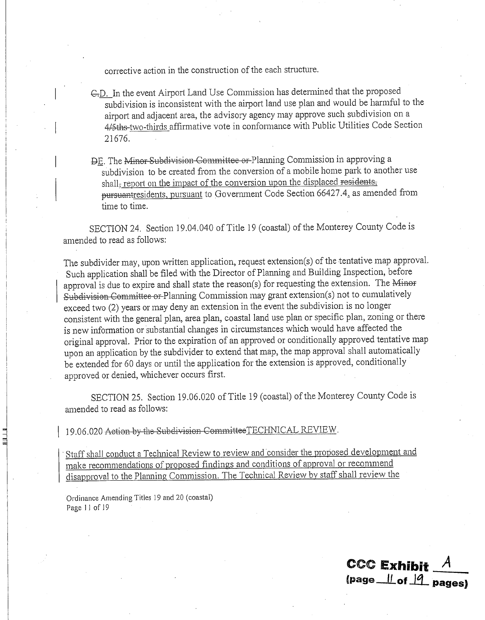corrective action in the construction of the each structure.

- C.D. In the event Airport Land Use Commission has determined that the proposed subdivision is inconsistent with the airport land use plan and would be harmful to the airport and adjacent area, the advisory agency may approve such subdivision on a 4/5ths-two-thirds affirmative vote in conformance with Public Utilities Code Section 21676.
- DE. The Minor Subdivision Committee or Planning Commission in approving a subdivision to be created from the conversion of a mobile home park to another use shall, report on the impact of the conversion upon the displaced residents. pursuantresidents, pursuant to Government Code Section 66427.4, as amended from time to time.

SECTION 24. Section 19.04.040 of Title 19 (coastal) of the Monterey County Code is amended to read as follows:

The subdivider may, upon written application, request extension(s) of the tentative map approval. Such application shall be filed with the Director of Planning and Building Inspection, before approval is due to expire and shall state the reason(s) for requesting the extension. The Minor Subdivision Committee or Planning Commission may grant extension(s) not to cumulatively exceed two (2) years or may deny an extension in the event the subdivision is no longer consistent with the general plan, area plan, coastal land use plan or specific plan, zoning or there is new information or substantial changes in circumstances which would have affected the original approval. Prior to the expiration of an approved or conditionally approved tentative map upon an application by the subdivider to extend that map, the map approval shall automatically be extended for 60 days or until the application for the extension is approved, conditionally approved or denied, whichever occurs first.

SECTION 25. Section 19.06.020 of Title 19 (coastal) of the Monterey County Code is amended to read as follows:

19.06.020 Action by the Subdivision CommitteeTECHNICAL REVIEW.

Staff shall conduct a Technical Review to review and consider the proposed development and make recommendations of proposed findings and conditions of approval or recommend disapproval to the Planning Commission. The Technical Review by staff shall review the

Ordinance Amending Titles 19 and 20 (coastal) Page 11 of 19

**CCC Exhibit**  $(page_l | f_0f_l | f_1)$  pages)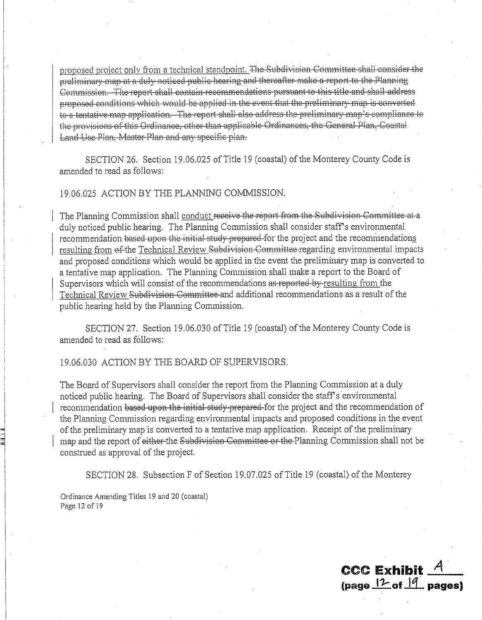proposed project only from a technical standpoint. The Subdivision Committee shall consider the preliminary map at a duly noticed public hearing and thereafter make a report to the Planning Commission. The report shall contain recommendations pursuant to this title and shall address proposed conditions which would be applied in the event that the preliminary map is converted to a tentative map application. The report shall also address the preliminary map's compliance to the provisions of this Ordinance, other than applicable Ordinances, the General Plan, Coastal Land Use Plan, Master Plan and any specific plan.

SECTION 26. Section 19.06.025 of Title 19 (coastal) of the Monterey County Code is amended to read as follows:

### 19.06.025 ACTION BY THE PLANNING COMMISSION.

The Planning Commission shall conduct receive the report from the Subdivision Committee at a duly noticed public hearing. The Planning Commission shall consider staff's environmental recommendation based upon the initial study prepared for the project and the recommendations resulting from of the Technical Review Subdivision Committee-regarding environmental impacts and proposed conditions which would be applied in the event the preliminary map is converted to a tentative map application. The Planning Commission shall make a report to the Board of Supervisors which will consist of the recommendations as reported-by-resulting from the Technical Review Subdivision Committee and additional recommendations as a result of the public hearing held by the Planning Commission.

SECTION 27. Section 19.06.030 of Title 19 (coastal) of the Monterey County Code is amended to read as follows:

#### 19.06.030 ACTION BY THE BOARD OF SUPERVISORS.

The Board of Supervisors shall consider the report from the Planning Commission at a duly noticed public hearing. The Board of Supervisors shall consider the staff's environmental recommendation based upon the initial study prepared for the project and the recommendation of the Planning Commission regarding environmental impacts and proposed conditions in the event of the preliminary map is converted to a tentative map application. Receipt of the preliminary map and the report of either-the Subdivision Committee or the Planning Commission shall not be construed as approval of the project.

SECTION 28. Subsection F of Section 19.07.025 of Title 19 (coastal) of the Monterey

Ordinance Amending Titles 19 and 20 (coastal) Page 12 of 19

 $\csc \varepsilon$  Exhibit  $A$ (page  $12$  of  $14$  pages)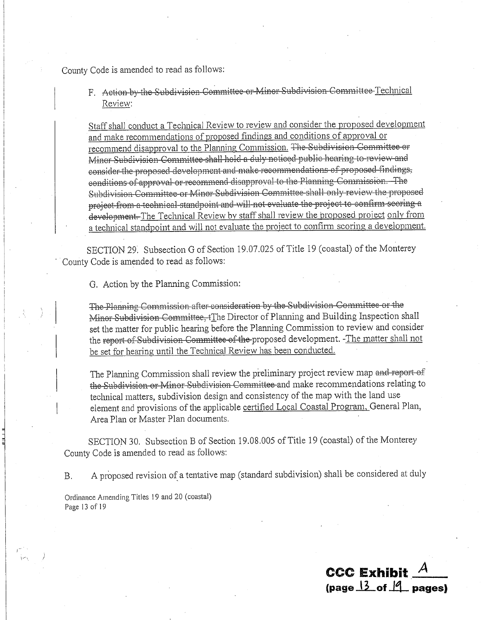County Code is amended to read as follows:

F. Action by the Subdivision Committee or Minor Subdivision Committee Technical Review:

Staff shall conduct a Technical Review to review and consider the proposed development and make recommendations of proposed findings and conditions of approval or recommend disapproval to the Planning Commission. The Subdivision Committee or Minor Subdivision Committee shall hold a duly noticed public hearing to review and consider the proposed development and make recommendations of proposed findings, conditions of approval or recommend disapproval to the Planning Commission. The Subdivision Committee or Minor Subdivision Committee shall only review the proposed project from a technical standpoint and will not evaluate the project to confirm scoring a development. The Technical Review by staff shall review the proposed project only from a technical standpoint and will not evaluate the project to confirm scoring a development.

SECTION 29. Subsection G of Section 19.07.025 of Title 19 (coastal) of the Monterey County Code is amended to read as follows:

G. Action by the Planning Commission:

The Planning Commission after consideration by the Subdivision Committee or the Minor Subdivision Committee, (The Director of Planning and Building Inspection shall set the matter for public hearing before the Planning Commission to review and consider the report of Subdivision Committee of the proposed development. -The matter shall not be set for hearing until the Technical Review has been conducted.

The Planning Commission shall review the preliminary project review map and report of the Subdivision or Minor Subdivision Committee and make recommendations relating to technical matters, subdivision design and consistency of the map with the land use element and provisions of the applicable certified Local Coastal Program, General Plan, Area Plan or Master Plan documents.

SECTION 30. Subsection B of Section 19.08.005 of Title 19 (coastal) of the Monterey County Code is amended to read as follows:

A proposed revision of a tentative map (standard subdivision) shall be considered at duly **B.** 

CCC Exhibit  $\sim$ 

 $\frac{13}{2}$  of  $\frac{14}{2}$  pages)

Ordinance Amending Titles 19 and 20 (coastal) Page 13 of 19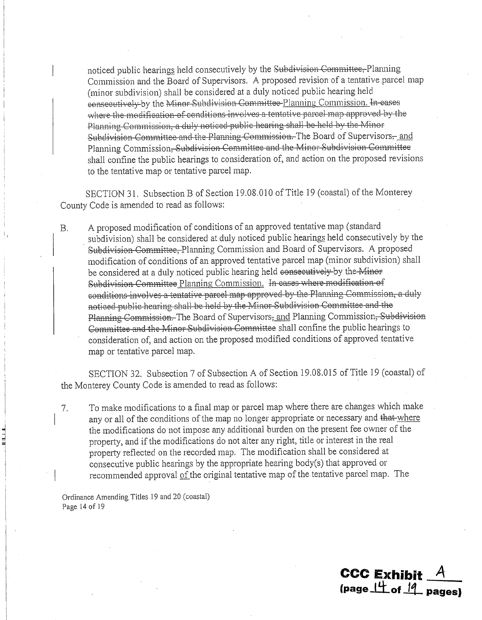noticed public hearings held consecutively by the Subdivision Committee, Planning Commission and the Board of Supervisors. A proposed revision of a tentative parcel map (minor subdivision) shall be considered at a duly noticed public hearing held consecutively by the Minor Subdivision Committee Planning Commission. In-cases where the modification of conditions involves a tentative parcel map approved by the Planning Commission, a duly noticed public hearing shall be held by the Minor Subdivision Committee and the Planning Commission. The Board of Supervisors-and Planning Commission, Subdivision Committee and the Minor Subdivision Committee shall confine the public hearings to consideration of, and action on the proposed revisions to the tentative map or tentative parcel map.

SECTION 31. Subsection B of Section 19.08.010 of Title 19 (coastal) of the Monterey County Code is amended to read as follows:

A proposed modification of conditions of an approved tentative map (standard  $B.$ subdivision) shall be considered at duly noticed public hearings held consecutively by the Subdivision Committee, Planning Commission and Board of Supervisors. A proposed modification of conditions of an approved tentative parcel map (minor subdivision) shall be considered at a duly noticed public hearing held consecutively by the Minor Subdivision Committee Planning Commission. In cases where modification of conditions involves a tentative parcel map approved by the Planning Commission, a duly noticed public hearing shall be held by the Minor Subdivision Committee and the Planning Commission. The Board of Supervisors, and Planning Commission, Subdivision Committee and the Minor Subdivision Committee shall confine the public hearings to consideration of, and action on the proposed modified conditions of approved tentative map or tentative parcel map.

SECTION 32. Subsection 7 of Subsection A of Section 19.08.015 of Title 19 (coastal) of the Monterey County Code is amended to read as follows:

To make modifications to a final map or parcel map where there are changes which make 7. any or all of the conditions of the map no longer appropriate or necessary and that-where the modifications do not impose any additional burden on the present fee owner of the property, and if the modifications do not alter any right, title or interest in the real property reflected on the recorded map. The modification shall be considered at consecutive public hearings by the appropriate hearing body(s) that approved or recommended approval of the original tentative map of the tentative parcel map. The

**CCC Exhibit** 

(page  $\frac{14}{100}$  of  $\frac{19}{100}$  pages)

Ordinance Amending Titles 19 and 20 (coastal) Page 14 of 19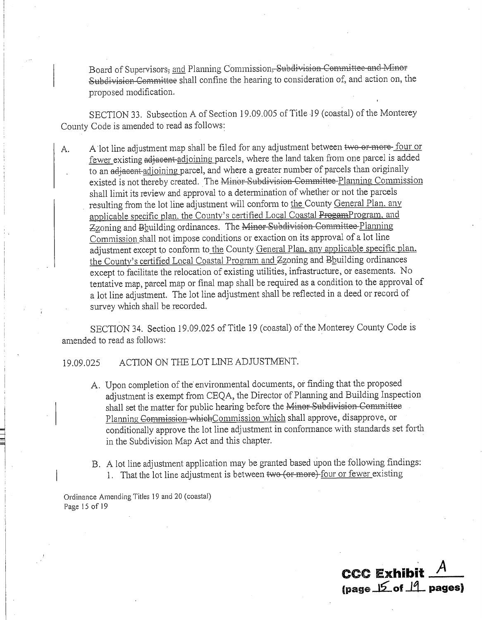Board of Supervisors, and Planning Commission, Subdivision Committee and Minor Subdivision Committee shall confine the hearing to consideration of, and action on, the proposed modification.

SECTION 33. Subsection A of Section 19.09.005 of Title 19 (coastal) of the Monterey County Code is amended to read as follows:

A lot line adjustment map shall be filed for any adjustment between two or more four or A. fewer existing adjacent adjoining parcels, where the land taken from one parcel is added to an adjacent adjoining parcel, and where a greater number of parcels than originally existed is not thereby created. The Minor Subdivision Committee Planning Commission shall limit its review and approval to a determination of whether or not the parcels resulting from the lot line adjustment will conform to the County General Plan, any applicable specific plan, the County's certified Local Coastal ProgamProgram, and Zzoning and Bbuilding ordinances. The Minor Subdivision Committee Planning Commission shall not impose conditions or exaction on its approval of a lot line adjustment except to conform to the County General Plan, any applicable specific plan. the County's certified Local Coastal Program and Zzoning and Bhuilding ordinances except to facilitate the relocation of existing utilities, infrastructure, or easements. No tentative map, parcel map or final map shall be required as a condition to the approval of a lot line adjustment. The lot line adjustment shall be reflected in a deed or record of survey which shall be recorded.

SECTION 34. Section 19.09.025 of Title 19 (coastal) of the Monterey County Code is amended to read as follows:

#### ACTION ON THE LOT LINE ADJUSTMENT. 19.09.025

- A. Upon completion of the environmental documents, or finding that the proposed adjustment is exempt from CEQA, the Director of Planning and Building Inspection shall set the matter for public hearing before the Minor-Subdivision Committee Planning Commission which Commission which shall approve, disapprove, or conditionally approve the lot line adjustment in conformance with standards set forth in the Subdivision Map Act and this chapter.
- B. A lot line adjustment application may be granted based upon the following findings: 1. That the lot line adjustment is between two (or more) four or fewer existing

Ordinance Amending Titles 19 and 20 (coastal) Page 15 of 19

**CCC Exhibit** (page 15 of 19 pages)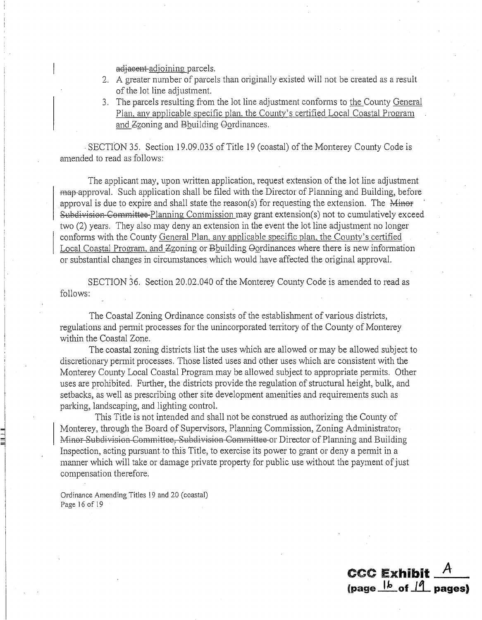adjaeent-adjoining parcels.

- 2. A greater number of parcels than originally existed will not be created as a result of the lot line adjustment.
- 3. The parcels resulting from the lot line adjustment conforms to the County General Plan, any applicable specific plan, the County's certified Local Coastal Program and Zzoning and Bbuilding Oordinances.

SECTION 35. Section 19.09.035 of Title 19 (coastal) of the Monterey County Code is amended to read as follows:

The applicant may, upon written application, request extension of the lot line adjustment map-approval. Such application shall be filed with the Director of Planning and Building, before approval is due to expire and shall state the reason(s) for requesting the extension. The  $\overline{\text{Minor}}$ Subdivision-Committee-Planning Commission may grant extension(s) not to cumulatively exceed two (2) years. They also may deny an extension in the event the lot line adjustment no longer conforms with the County General Plan, any applicable specific plan, the County's certified Local Coastal Program, and Zzoning or Bbuilding Oordinances where there is new information or substantial changes in circumstances which would have affected the original approval.

SECTION 36. Section 20.02.040 of the Monterey County Code is amended to read as follows:

The Coastal Zoning Ordinance consists of the establishment of various districts, regulations and permit processes for the unincorporated territory of the County of Monterey within the Coastal Zone.

The coastal zoning districts list the uses which are allowed or may be allowed subject to discretionary permit processes. Those listed uses and other uses which are consistent with the Monterey County Local Coastal Program may be allowed subject to appropriate permits. Other uses are prohibited. Further, the districts provide the regulation of structural height, bulk, and setbacks, as well as prescribing other site development amenities and requirements such as parking, landscaping, and lighting control.

This Title is not intended and shall not be construed as authorizing the County of Monterey, through the Board of Supervisors, Planning Commission, Zoning Administrator. Minor Subdivision Committee, Subdivision Committee or Director of Planning and Building Inspection, acting pursuant to this Title, to exercise its power to grant or deny a permit in a manner which will take or damage private property for public use without the payment of just compensation therefore.

**CCC Exhibit** 

(page  $\frac{|b|}{|c|}$  of  $\frac{|f|}{|c|}$  pages)

Ordinance Amending Titles 19 and 20 (coastal) Page 16 of 19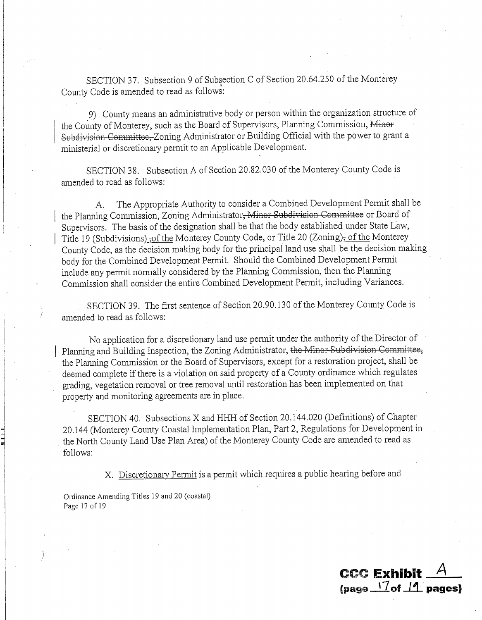SECTION 37. Subsection 9 of Subsection C of Section 20.64.250 of the Monterey County Code is amended to read as follows:

9) County means an administrative body or person within the organization structure of the County of Monterey, such as the Board of Supervisors, Planning Commission, Minor Subdivision Committee, Zoning Administrator or Building Official with the power to grant a ministerial or discretionary permit to an Applicable Development.

SECTION 38. Subsection A of Section 20.82.030 of the Monterey County Code is amended to read as follows:

The Appropriate Authority to consider a Combined Development Permit shall be А. the Planning Commission, Zoning Administrator, Minor Subdivision Committee or Board of Supervisors. The basis of the designation shall be that the body established under State Law, Title 19 (Subdivisions), of the Monterey County Code, or Title 20 (Zoning), of the Monterey County Code, as the decision making body for the principal land use shall be the decision making body for the Combined Development Permit. Should the Combined Development Permit include any permit normally considered by the Planning Commission, then the Planning Commission shall consider the entire Combined Development Permit, including Variances.

SECTION 39. The first sentence of Section 20.90.130 of the Monterey County Code is amended to read as follows:

No application for a discretionary land use permit under the authority of the Director of Planning and Building Inspection, the Zoning Administrator, the Minor Subdivision Committee, the Planning Commission or the Board of Supervisors, except for a restoration project, shall be deemed complete if there is a violation on said property of a County ordinance which regulates grading, vegetation removal or tree removal until restoration has been implemented on that property and monitoring agreements are in place.

SECTION 40. Subsections X and HHH of Section 20.144.020 (Definitions) of Chapter 20.144 (Monterey County Coastal Implementation Plan, Part 2, Regulations for Development in the North County Land Use Plan Area) of the Monterey County Code are amended to read as follows:

X. Discretionary Permit is a permit which requires a public hearing before and

Ordinance Amending Titles 19 and 20 (coastal) Page 17 of 19

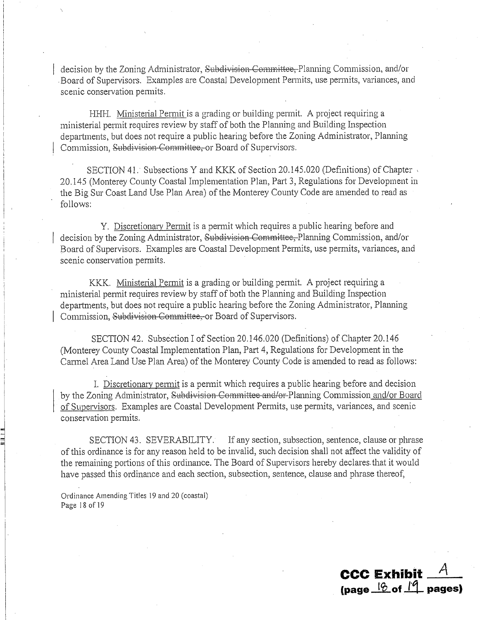decision by the Zoning Administrator, Subdivision Committee, Planning Commission, and/or Board of Supervisors. Examples are Coastal Development Permits, use permits, variances, and scenic conservation permits.

HHH. Ministerial Permit is a grading or building permit. A project requiring a ministerial permit requires review by staff of both the Planning and Building Inspection departments, but does not require a public hearing before the Zoning Administrator, Planning Commission, Subdivision-Committee, or Board of Supervisors.

SECTION 41. Subsections Y and KKK of Section 20.145.020 (Definitions) of Chapter 20.145 (Monterey County Coastal Implementation Plan, Part 3, Regulations for Development in the Big Sur Coast Land Use Plan Area) of the Monterey County Code are amended to read as follows:

Y. Discretionary Permit is a permit which requires a public hearing before and decision by the Zoning Administrator, Subdivision Committee, Planning Commission, and/or Board of Supervisors. Examples are Coastal Development Permits, use permits, variances, and scenic conservation permits.

KKK. Ministerial Permit is a grading or building permit. A project requiring a ministerial permit requires review by staff of both the Planning and Building Inspection departments, but does not require a public hearing before the Zoning Administrator, Planning Commission, Subdivision Committee, or Board of Supervisors.

SECTION 42. Subsection I of Section 20.146.020 (Definitions) of Chapter 20.146 (Monterey County Coastal Implementation Plan, Part 4, Regulations for Development in the Carmel Area Land Use Plan Area) of the Monterey County Code is amended to read as follows:

I. Discretionary permit is a permit which requires a public hearing before and decision by the Zoning Administrator, Subdivision Committee and/or-Planning Commission and/or Board of Supervisors. Examples are Coastal Development Permits, use permits, variances, and scenic conservation permits.

SECTION 43. SEVERABILITY. If any section, subsection, sentence, clause or phrase of this ordinance is for any reason held to be invalid, such decision shall not affect the validity of the remaining portions of this ordinance. The Board of Supervisors hereby declares that it would have passed this ordinance and each section, subsection, sentence, clause and phrase thereof,

Ordinance Amending Titles 19 and 20 (coastal) Page 18 of 19

> CCC Exhibit  $A$ (page  $\frac{10}{2}$  of  $\frac{10}{2}$  pages)